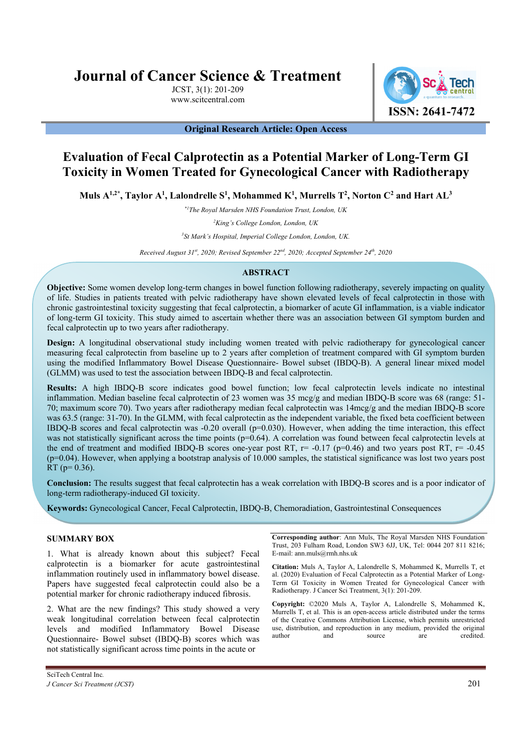# **Journal of Cancer Science & Treatment**

JCST, 3(1): 201-209 www.scitcentral.com



**Original Research Article: Open Access** 

# **Evaluation of Fecal Calprotectin as a Potential Marker of Long-Term GI Toxicity in Women Treated for Gynecological Cancer with Radiotherapy**

Muls  $\mathrm{A}^{1,2^*},$  Taylor  $\mathrm{A}^1,$  Lalondrelle  $\mathrm{S}^1,$  Mohammed  $\mathrm{K}^1,$  Murrells  $\mathrm{T}^2,$  Norton  $\mathrm{C}^2$  and Hart AL $^3$ 

*\*1The Royal Marsden NHS Foundation Trust, London, UK*

*2 King's College London, London, UK* 

*3 St Mark's Hospital, Imperial College London, London, UK.* 

*Received August 31st, 2020; Revised September 22nd, 2020; Accepted September 24th, 2020* 

# **ABSTRACT**

**Objective:** Some women develop long-term changes in bowel function following radiotherapy, severely impacting on quality of life. Studies in patients treated with pelvic radiotherapy have shown elevated levels of fecal calprotectin in those with chronic gastrointestinal toxicity suggesting that fecal calprotectin, a biomarker of acute GI inflammation, is a viable indicator of long-term GI toxicity. This study aimed to ascertain whether there was an association between GI symptom burden and fecal calprotectin up to two years after radiotherapy.

**Design:** A longitudinal observational study including women treated with pelvic radiotherapy for gynecological cancer measuring fecal calprotectin from baseline up to 2 years after completion of treatment compared with GI symptom burden using the modified Inflammatory Bowel Disease Questionnaire- Bowel subset (IBDQ-B). A general linear mixed model (GLMM) was used to test the association between IBDQ-B and fecal calprotectin.

**Results:** A high IBDQ-B score indicates good bowel function; low fecal calprotectin levels indicate no intestinal inflammation. Median baseline fecal calprotectin of 23 women was 35 mcg/g and median IBDQ-B score was 68 (range: 51- 70; maximum score 70). Two years after radiotherapy median fecal calprotectin was 14mcg/g and the median IBDQ-B score was 63.5 (range: 31-70). In the GLMM, with fecal calprotectin as the independent variable, the fixed beta coefficient between IBDQ-B scores and fecal calprotectin was  $-0.20$  overall ( $p=0.030$ ). However, when adding the time interaction, this effect was not statistically significant across the time points  $(p=0.64)$ . A correlation was found between fecal calprotectin levels at the end of treatment and modified IBDQ-B scores one-year post RT,  $r = -0.17$  (p=0.46) and two years post RT,  $r = -0.45$  $(p=0.04)$ . However, when applying a bootstrap analysis of 10.000 samples, the statistical significance was lost two years post RT ( $p=0.36$ ).

**Conclusion:** The results suggest that fecal calprotectin has a weak correlation with IBDQ-B scores and is a poor indicator of long-term radiotherapy-induced GI toxicity.

**Keywords:** Gynecological Cancer, Fecal Calprotectin, IBDQ-B, Chemoradiation, Gastrointestinal Consequences

# **SUMMARY BOX**

1. What is already known about this subject? Fecal calprotectin is a biomarker for acute gastrointestinal inflammation routinely used in inflammatory bowel disease. Papers have suggested fecal calprotectin could also be a potential marker for chronic radiotherapy induced fibrosis.

2. What are the new findings? This study showed a very weak longitudinal correlation between fecal calprotectin levels and modified Inflammatory Bowel Disease Questionnaire- Bowel subset (IBDQ-B) scores which was not statistically significant across time points in the acute or

**Corresponding author**: Ann Muls, The Royal Marsden NHS Foundation Trust, 203 Fulham Road, London SW3 6JJ, UK, Tel: 0044 207 811 8216; E-mail: ann.muls@rmh.nhs.uk

**Citation:** Muls A, Taylor A, Lalondrelle S, Mohammed K, Murrells T, et al. (2020) Evaluation of Fecal Calprotectin as a Potential Marker of Long-Term GI Toxicity in Women Treated for Gynecological Cancer with Radiotherapy. J Cancer Sci Treatment, 3(1): 201-209.

**Copyright:** ©2020 Muls A, Taylor A, Lalondrelle S, Mohammed K, Murrells T, et al. This is an open-access article distributed under the terms of the Creative Commons Attribution License, which permits unrestricted use, distribution, and reproduction in any medium, provided the original author and source are credited.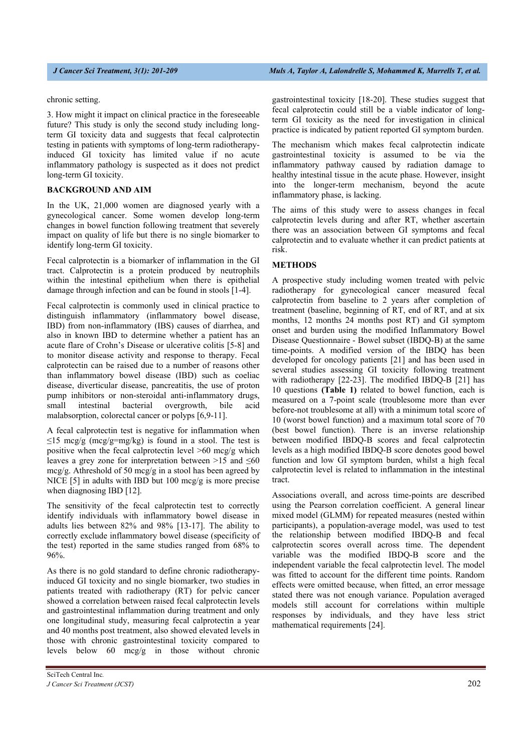chronic setting.

3. How might it impact on clinical practice in the foreseeable future? This study is only the second study including longterm GI toxicity data and suggests that fecal calprotectin testing in patients with symptoms of long-term radiotherapyinduced GI toxicity has limited value if no acute inflammatory pathology is suspected as it does not predict long-term GI toxicity.

# **BACKGROUND AND AIM**

In the UK, 21,000 women are diagnosed yearly with a gynecological cancer. Some women develop long-term changes in bowel function following treatment that severely impact on quality of life but there is no single biomarker to identify long-term GI toxicity.

Fecal calprotectin is a biomarker of inflammation in the GI tract. Calprotectin is a protein produced by neutrophils within the intestinal epithelium when there is epithelial damage through infection and can be found in stools [1-4].

Fecal calprotectin is commonly used in clinical practice to distinguish inflammatory (inflammatory bowel disease, IBD) from non-inflammatory (IBS) causes of diarrhea, and also in known IBD to determine whether a patient has an acute flare of Crohn's Disease or ulcerative colitis [5-8] and to monitor disease activity and response to therapy. Fecal calprotectin can be raised due to a number of reasons other than inflammatory bowel disease (IBD) such as coeliac disease, diverticular disease, pancreatitis, the use of proton pump inhibitors or non-steroidal anti-inflammatory drugs, small intestinal bacterial overgrowth, bile acid malabsorption, colorectal cancer or polyps [6,9-11].

A fecal calprotectin test is negative for inflammation when  $\leq$ 15 mcg/g (mcg/g=mg/kg) is found in a stool. The test is positive when the fecal calprotectin level >60 mcg/g which leaves a grey zone for interpretation between  $>15$  and  $\leq 60$ mcg/g. Athreshold of 50 mcg/g in a stool has been agreed by NICE [5] in adults with IBD but 100 mcg/g is more precise when diagnosing IBD [12].

The sensitivity of the fecal calprotectin test to correctly identify individuals with inflammatory bowel disease in adults lies between 82% and 98% [13-17]. The ability to correctly exclude inflammatory bowel disease (specificity of the test) reported in the same studies ranged from 68% to 96%.

As there is no gold standard to define chronic radiotherapyinduced GI toxicity and no single biomarker, two studies in patients treated with radiotherapy (RT) for pelvic cancer showed a correlation between raised fecal calprotectin levels and gastrointestinal inflammation during treatment and only one longitudinal study, measuring fecal calprotectin a year and 40 months post treatment, also showed elevated levels in those with chronic gastrointestinal toxicity compared to levels below 60 mcg/g in those without chronic gastrointestinal toxicity [18-20]. These studies suggest that fecal calprotectin could still be a viable indicator of longterm GI toxicity as the need for investigation in clinical practice is indicated by patient reported GI symptom burden.

The mechanism which makes fecal calprotectin indicate gastrointestinal toxicity is assumed to be via the inflammatory pathway caused by radiation damage to healthy intestinal tissue in the acute phase. However, insight into the longer-term mechanism, beyond the acute inflammatory phase, is lacking.

The aims of this study were to assess changes in fecal calprotectin levels during and after RT, whether ascertain there was an association between GI symptoms and fecal calprotectin and to evaluate whether it can predict patients at risk.

# **METHODS**

A prospective study including women treated with pelvic radiotherapy for gynecological cancer measured fecal calprotectin from baseline to 2 years after completion of treatment (baseline, beginning of RT, end of RT, and at six months, 12 months 24 months post RT) and GI symptom onset and burden using the modified Inflammatory Bowel Disease Questionnaire - Bowel subset (IBDQ-B) at the same time-points. A modified version of the IBDQ has been developed for oncology patients [21] and has been used in several studies assessing GI toxicity following treatment with radiotherapy [22-23]. The modified IBDQ-B [21] has 10 questions **(Table 1)** related to bowel function, each is measured on a 7-point scale (troublesome more than ever before-not troublesome at all) with a minimum total score of 10 (worst bowel function) and a maximum total score of 70 (best bowel function). There is an inverse relationship between modified IBDQ-B scores and fecal calprotectin levels as a high modified IBDQ-B score denotes good bowel function and low GI symptom burden, whilst a high fecal calprotectin level is related to inflammation in the intestinal tract.

Associations overall, and across time-points are described using the Pearson correlation coefficient. A general linear mixed model (GLMM) for repeated measures (nested within participants), a population-average model, was used to test the relationship between modified IBDQ-B and fecal calprotectin scores overall across time. The dependent variable was the modified IBDQ-B score and the independent variable the fecal calprotectin level. The model was fitted to account for the different time points. Random effects were omitted because, when fitted, an error message stated there was not enough variance. Population averaged models still account for correlations within multiple responses by individuals, and they have less strict mathematical requirements [24].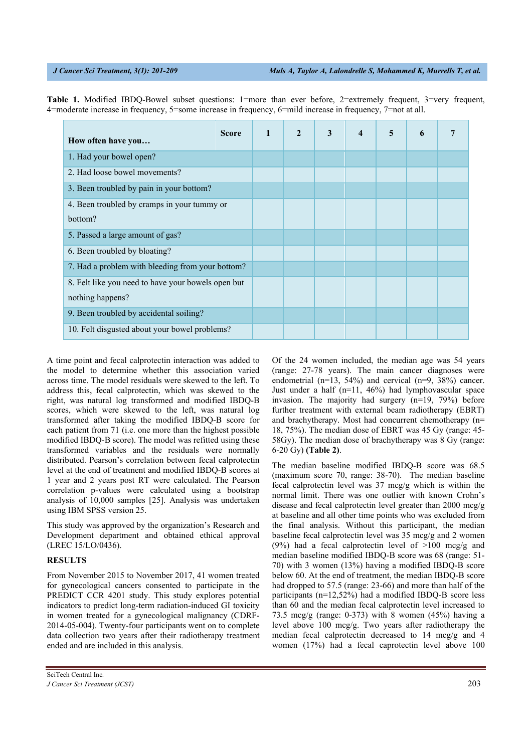bottom?

nothing happens?

3. Been troubled by pain in your bottom? 4. Been troubled by cramps in your tummy or

7. Had a problem with bleeding from your bottom? 8. Felt like you need to have your bowels open but

5. Passed a large amount of gas? 6. Been troubled by bloating?

9. Been troubled by accidental soiling?

10. Felt disgusted about your bowel problems?

| 4=moderate increase in frequency, 5=some increase in frequency, 6=mild increase in frequency, 7=not at all. |              |          |  |  |  |
|-------------------------------------------------------------------------------------------------------------|--------------|----------|--|--|--|
| How often have you                                                                                          | <b>Score</b> | $2 \mid$ |  |  |  |
| 1. Had your bowel open?                                                                                     |              |          |  |  |  |
| 2. Had loose bowel movements?                                                                               |              |          |  |  |  |

**Table 1.** Modified IBDQ-Bowel subset questions: 1=more than ever before, 2=extremely frequent, 3=very frequent,

A time point and fecal calprotectin interaction was added to the model to determine whether this association varied across time. The model residuals were skewed to the left. To address this, fecal calprotectin, which was skewed to the right, was natural log transformed and modified IBDQ-B scores, which were skewed to the left, was natural log transformed after taking the modified IBDQ-B score for each patient from 71 (i.e. one more than the highest possible modified IBDQ-B score). The model was refitted using these transformed variables and the residuals were normally distributed. Pearson's correlation between fecal calprotectin level at the end of treatment and modified IBDQ-B scores at 1 year and 2 years post RT were calculated. The Pearson correlation p-values were calculated using a bootstrap analysis of 10,000 samples [25]. Analysis was undertaken using IBM SPSS version 25.

This study was approved by the organization's Research and Development department and obtained ethical approval (LREC 15/LO/0436).

# **RESULTS**

From November 2015 to November 2017, 41 women treated for gynecological cancers consented to participate in the PREDICT CCR 4201 study. This study explores potential indicators to predict long-term radiation-induced GI toxicity in women treated for a gynecological malignancy (CDRF-2014-05-004). Twenty-four participants went on to complete data collection two years after their radiotherapy treatment ended and are included in this analysis.

Of the 24 women included, the median age was 54 years (range: 27-78 years). The main cancer diagnoses were endometrial (n=13, 54%) and cervical (n=9, 38%) cancer. Just under a half  $(n=11, 46%)$  had lymphovascular space invasion. The majority had surgery (n=19, 79%) before further treatment with external beam radiotherapy (EBRT) and brachytherapy. Most had concurrent chemotherapy (n= 18, 75%). The median dose of EBRT was 45 Gy (range: 45- 58Gy). The median dose of brachytherapy was 8 Gy (range: 6-20 Gy) **(Table 2)**.

The median baseline modified IBDQ-B score was 68.5 (maximum score 70, range: 38-70). The median baseline fecal calprotectin level was 37 mcg/g which is within the normal limit. There was one outlier with known Crohn's disease and fecal calprotectin level greater than 2000 mcg/g at baseline and all other time points who was excluded from the final analysis. Without this participant, the median baseline fecal calprotectin level was 35 mcg/g and 2 women (9%) had a fecal calprotectin level of  $>100$  mcg/g and median baseline modified IBDQ-B score was 68 (range: 51- 70) with 3 women (13%) having a modified IBDQ-B score below 60. At the end of treatment, the median IBDQ-B score had dropped to 57.5 (range: 23-66) and more than half of the participants (n=12,52%) had a modified IBDQ-B score less than 60 and the median fecal calprotectin level increased to 73.5 mcg/g (range: 0-373) with 8 women (45%) having a level above 100 mcg/g. Two years after radiotherapy the median fecal calprotectin decreased to 14 mcg/g and 4 women (17%) had a fecal caprotectin level above 100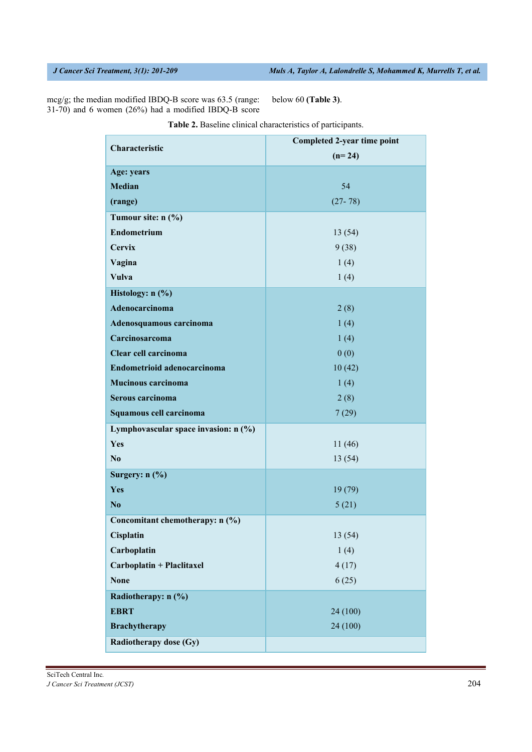mcg/g; the median modified IBDQ-B score was 63.5 (range: 31-70) and 6 women (26%) had a modified IBDQ-B score

below 60 **(Table 3)**.

|                                      | Completed 2-year time point |  |  |  |  |
|--------------------------------------|-----------------------------|--|--|--|--|
| Characteristic                       | $(n=24)$                    |  |  |  |  |
| Age: years                           |                             |  |  |  |  |
| <b>Median</b>                        | 54                          |  |  |  |  |
| (range)                              | $(27 - 78)$                 |  |  |  |  |
| Tumour site: n (%)                   |                             |  |  |  |  |
| <b>Endometrium</b>                   | 13(54)                      |  |  |  |  |
| <b>Cervix</b>                        | 9(38)                       |  |  |  |  |
| Vagina                               | 1(4)                        |  |  |  |  |
| <b>Vulva</b>                         | 1(4)                        |  |  |  |  |
| Histology: n (%)                     |                             |  |  |  |  |
| Adenocarcinoma                       | 2(8)                        |  |  |  |  |
| Adenosquamous carcinoma              | 1(4)                        |  |  |  |  |
| Carcinosarcoma                       | 1(4)                        |  |  |  |  |
| Clear cell carcinoma                 | 0(0)                        |  |  |  |  |
| Endometrioid adenocarcinoma          | 10(42)                      |  |  |  |  |
| <b>Mucinous carcinoma</b>            | 1(4)                        |  |  |  |  |
| Serous carcinoma                     | 2(8)                        |  |  |  |  |
| Squamous cell carcinoma              | 7(29)                       |  |  |  |  |
| Lymphovascular space invasion: n (%) |                             |  |  |  |  |
| Yes                                  | 11(46)                      |  |  |  |  |
| N <sub>0</sub>                       | 13(54)                      |  |  |  |  |
| Surgery: n (%)                       |                             |  |  |  |  |
| Yes                                  | 19 (79)                     |  |  |  |  |
| N <sub>0</sub>                       | 5(21)                       |  |  |  |  |
| Concomitant chemotherapy: n (%)      |                             |  |  |  |  |
| Cisplatin                            | 13 (54)                     |  |  |  |  |
| Carboplatin                          | 1(4)                        |  |  |  |  |
| Carboplatin + Placlitaxel            | 4(17)                       |  |  |  |  |
| <b>None</b>                          | 6(25)                       |  |  |  |  |
| Radiotherapy: n (%)                  |                             |  |  |  |  |
| <b>EBRT</b>                          | 24 (100)                    |  |  |  |  |
| <b>Brachytherapy</b>                 | 24 (100)                    |  |  |  |  |
| <b>Radiotherapy dose (Gy)</b>        |                             |  |  |  |  |

**Table 2.** Baseline clinical characteristics of participants.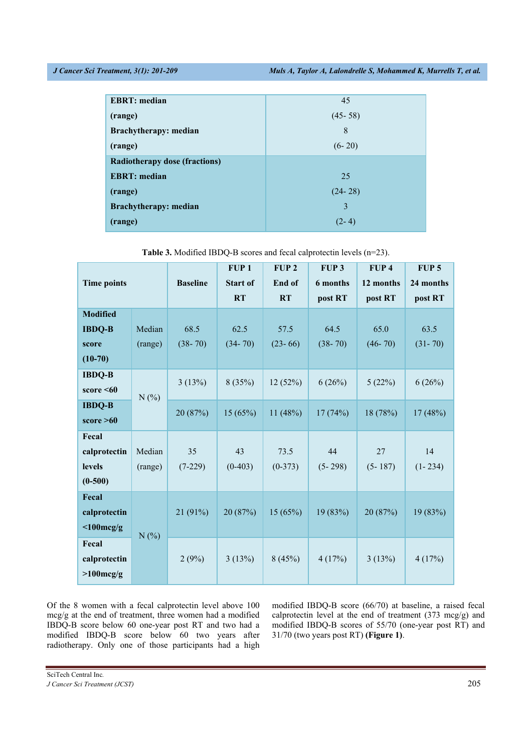| <b>EBRT</b> : median                 | 45          |
|--------------------------------------|-------------|
| (range)                              | $(45 - 58)$ |
| Brachytherapy: median                | 8           |
| (range)                              | $(6-20)$    |
| <b>Radiotherapy dose (fractions)</b> |             |
| <b>EBRT</b> : median                 | 25          |
| (range)                              | $(24 - 28)$ |
| <b>Brachytherapy: median</b>         | 3           |
| (range)                              | $(2 - 4)$   |

| <b>Time points</b>                                               |                   | <b>Baseline</b>     | FUP <sub>1</sub><br><b>Start of</b><br><b>RT</b> | FUP <sub>2</sub><br>End of<br><b>RT</b> | FUP <sub>3</sub><br>6 months<br>post RT | FUP <sub>4</sub><br>12 months<br>post RT | FUP <sub>5</sub><br>24 months<br>post RT |
|------------------------------------------------------------------|-------------------|---------------------|--------------------------------------------------|-----------------------------------------|-----------------------------------------|------------------------------------------|------------------------------------------|
| <b>Modified</b><br><b>IBDQ-B</b><br>score<br>$(10-70)$           | Median<br>(range) | 68.5<br>$(38 - 70)$ | 62.5<br>$(34 - 70)$                              | 57.5<br>$(23-66)$                       | 64.5<br>$(38 - 70)$                     | 65.0<br>$(46 - 70)$                      | 63.5<br>$(31 - 70)$                      |
| <b>IBDQ-B</b><br>score $\leq 60$<br><b>IBDQ-B</b><br>score $>60$ | N(%               | 3(13%)<br>20 (87%)  | 8(35%)<br>15(65%)                                | 12(52%)<br>11 $(48%)$                   | 6(26%)<br>17(74%)                       | 5(22%)<br>18 (78%)                       | 6(26%)<br>17(48%)                        |
| Fecal<br>calprotectin<br>levels<br>$(0-500)$                     | Median<br>(range) | 35<br>$(7-229)$     | 43<br>$(0-403)$                                  | 73.5<br>$(0-373)$                       | 44<br>$(5 - 298)$                       | 27<br>$(5 - 187)$                        | 14<br>$(1 - 234)$                        |
| Fecal<br>calprotectin<br>$<$ 100mcg/g                            | N(%)              | 21 (91%)            | 20 (87%)                                         | 15(65%)                                 | 19 (83%)                                | 20 (87%)                                 | 19 (83%)                                 |
| Fecal<br>calprotectin<br>$>100$ mcg/g                            |                   | 2(9%)               | 3(13%)                                           | 8(45%)                                  | 4(17%)                                  | 3(13%)                                   | 4(17%)                                   |

**Table 3.** Modified IBDQ-B scores and fecal calprotectin levels (n=23).

Of the 8 women with a fecal calprotectin level above 100 mcg/g at the end of treatment, three women had a modified IBDQ-B score below 60 one-year post RT and two had a modified IBDQ-B score below 60 two years after radiotherapy. Only one of those participants had a high

modified IBDQ-B score (66/70) at baseline, a raised fecal calprotectin level at the end of treatment (373 mcg/g) and modified IBDQ-B scores of 55/70 (one-year post RT) and 31/70 (two years post RT) **(Figure 1)**.

SciTech Central Inc*.* 

*J Cancer Sci Treatment (JCST)* 205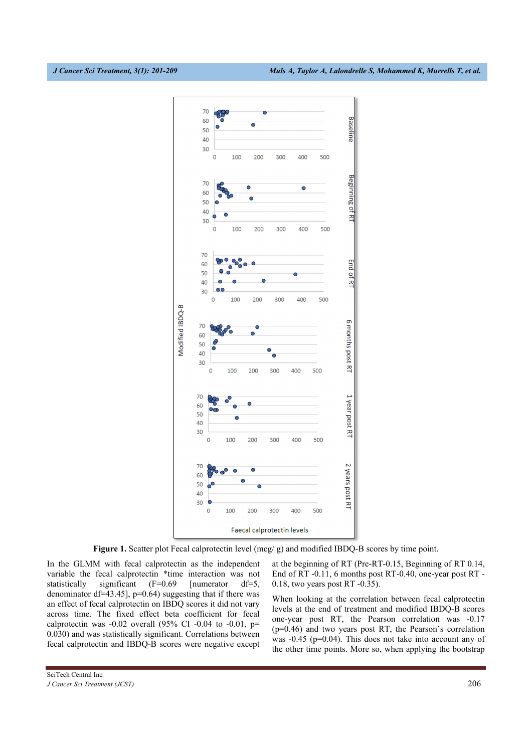

**Figure 1.** Scatter plot Fecal calprotectin level (mcg/ g) and modified IBDQ-B scores by time point.

In the GLMM with fecal calprotectin as the independent variable the fecal calprotectin \*time interaction was not statistically significant (F=0.69 [numerator df=5, denominator df=43.45],  $p=0.64$ ) suggesting that if there was an effect of fecal calprotectin on IBDQ scores it did not vary across time. The fixed effect beta coefficient for fecal calprotectin was  $-0.02$  overall (95% CI  $-0.04$  to  $-0.01$ , p= 0.030) and was statistically significant. Correlations between fecal calprotectin and IBDQ-B scores were negative except at the beginning of RT (Pre-RT-0.15, Beginning of RT 0.14, End of RT -0.11, 6 months post RT-0.40, one-year post RT - 0.18, two years post RT -0.35).

When looking at the correlation between fecal calprotectin levels at the end of treatment and modified IBDQ-B scores one-year post RT, the Pearson correlation was -0.17 (p=0.46) and two years post RT, the Pearson's correlation was -0.45 (p=0.04). This does not take into account any of the other time points. More so, when applying the bootstrap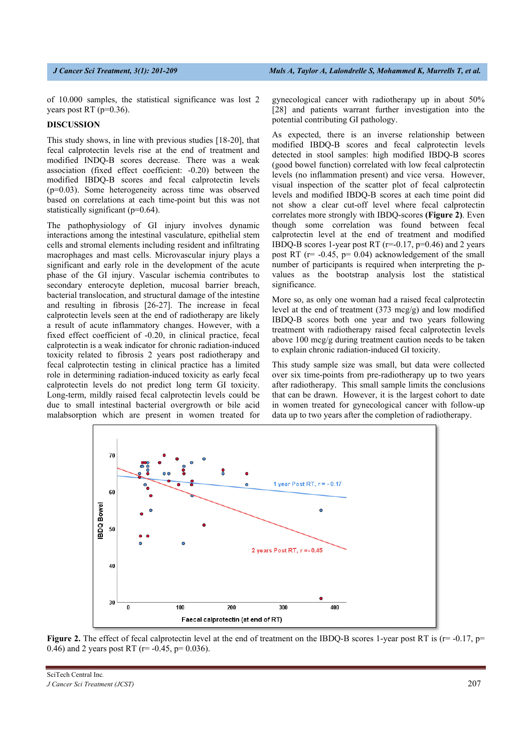of 10.000 samples, the statistical significance was lost 2 years post RT ( $p=0.36$ ).

# **DISCUSSION**

This study shows, in line with previous studies [18-20], that fecal calprotectin levels rise at the end of treatment and modified INDQ-B scores decrease. There was a weak association (fixed effect coefficient: -0.20) between the modified IBDQ-B scores and fecal calprotectin levels (p=0.03). Some heterogeneity across time was observed based on correlations at each time-point but this was not statistically significant (p=0.64).

The pathophysiology of GI injury involves dynamic interactions among the intestinal vasculature, epithelial stem cells and stromal elements including resident and infiltrating macrophages and mast cells. Microvascular injury plays a significant and early role in the development of the acute phase of the GI injury. Vascular ischemia contributes to secondary enterocyte depletion, mucosal barrier breach, bacterial translocation, and structural damage of the intestine and resulting in fibrosis [26-27]. The increase in fecal calprotectin levels seen at the end of radiotherapy are likely a result of acute inflammatory changes. However, with a fixed effect coefficient of -0.20, in clinical practice, fecal calprotectin is a weak indicator for chronic radiation-induced toxicity related to fibrosis 2 years post radiotherapy and fecal calprotectin testing in clinical practice has a limited role in determining radiation-induced toxicity as early fecal calprotectin levels do not predict long term GI toxicity. Long-term, mildly raised fecal calprotectin levels could be due to small intestinal bacterial overgrowth or bile acid malabsorption which are present in women treated for

gynecological cancer with radiotherapy up in about 50% [28] and patients warrant further investigation into the potential contributing GI pathology.

As expected, there is an inverse relationship between modified IBDQ-B scores and fecal calprotectin levels detected in stool samples: high modified IBDQ-B scores (good bowel function) correlated with low fecal calprotectin levels (no inflammation present) and vice versa. However, visual inspection of the scatter plot of fecal calprotectin levels and modified IBDQ-B scores at each time point did not show a clear cut-off level where fecal calprotectin correlates more strongly with IBDQ-scores **(Figure 2)**. Even though some correlation was found between fecal calprotectin level at the end of treatment and modified IBDQ-B scores 1-year post RT ( $r=0.17$ ,  $p=0.46$ ) and 2 years post RT ( $r = -0.45$ ,  $p = 0.04$ ) acknowledgement of the small number of participants is required when interpreting the pvalues as the bootstrap analysis lost the statistical significance.

More so, as only one woman had a raised fecal calprotectin level at the end of treatment (373 mcg/g) and low modified IBDQ-B scores both one year and two years following treatment with radiotherapy raised fecal calprotectin levels above 100 mcg/g during treatment caution needs to be taken to explain chronic radiation-induced GI toxicity.

This study sample size was small, but data were collected over six time-points from pre-radiotherapy up to two years after radiotherapy. This small sample limits the conclusions that can be drawn. However, it is the largest cohort to date in women treated for gynecological cancer with follow-up data up to two years after the completion of radiotherapy.



**Figure 2.** The effect of fecal calprotectin level at the end of treatment on the IBDQ-B scores 1-year post RT is  $(r = -0.17, p =$ 0.46) and 2 years post RT ( $r = -0.45$ ,  $p = 0.036$ ).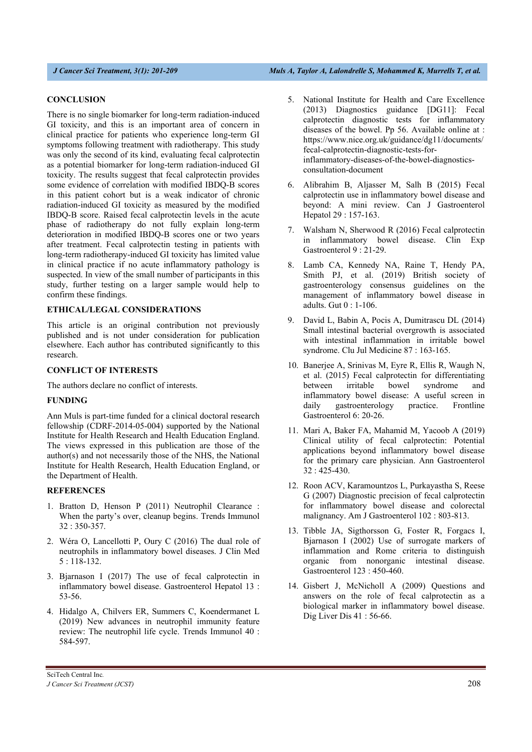### **CONCLUSION**

There is no single biomarker for long-term radiation-induced GI toxicity, and this is an important area of concern in clinical practice for patients who experience long-term GI symptoms following treatment with radiotherapy. This study was only the second of its kind, evaluating fecal calprotectin as a potential biomarker for long-term radiation-induced GI toxicity. The results suggest that fecal calprotectin provides some evidence of correlation with modified IBDQ-B scores in this patient cohort but is a weak indicator of chronic radiation-induced GI toxicity as measured by the modified IBDQ-B score. Raised fecal calprotectin levels in the acute phase of radiotherapy do not fully explain long-term deterioration in modified IBDQ-B scores one or two years after treatment. Fecal calprotectin testing in patients with long-term radiotherapy-induced GI toxicity has limited value in clinical practice if no acute inflammatory pathology is suspected. In view of the small number of participants in this study, further testing on a larger sample would help to confirm these findings.

# **ETHICAL/LEGAL CONSIDERATIONS**

This article is an original contribution not previously published and is not under consideration for publication elsewhere. Each author has contributed significantly to this research.

# **CONFLICT OF INTERESTS**

The authors declare no conflict of interests.

### **FUNDING**

Ann Muls is part-time funded for a clinical doctoral research fellowship (CDRF-2014-05-004) supported by the National Institute for Health Research and Health Education England. The views expressed in this publication are those of the author(s) and not necessarily those of the NHS, the National Institute for Health Research, Health Education England, or the Department of Health.

### **REFERENCES**

- 1. Bratton D, Henson P (2011) Neutrophil Clearance : When the party's over, cleanup begins. Trends Immunol 32 : 350-357.
- 2. Wéra O, Lancellotti P, Oury C (2016) The dual role of neutrophils in inflammatory bowel diseases. J Clin Med 5 : 118-132.
- 3. Bjarnason I (2017) The use of fecal calprotectin in inflammatory bowel disease. Gastroenterol Hepatol 13 : 53-56.
- 4. Hidalgo A, Chilvers ER, Summers C, Koendermanet L (2019) New advances in neutrophil immunity feature review: The neutrophil life cycle. Trends Immunol 40 : 584-597.
- 5. National Institute for Health and Care Excellence (2013) Diagnostics guidance [DG11]: Fecal calprotectin diagnostic tests for inflammatory diseases of the bowel. Pp 56. Available online at : https://www.nice.org.uk/guidance/dg11/documents/ fecal-calprotectin-diagnostic-tests-forinflammatory-diseases-of-the-bowel-diagnosticsconsultation-document
- 6. Alibrahim B, Aljasser M, Salh B (2015) Fecal calprotectin use in inflammatory bowel disease and beyond: A mini review. Can J Gastroenterol Hepatol 29 : 157-163.
- 7. Walsham N, Sherwood R (2016) Fecal calprotectin in inflammatory bowel disease. Clin Exp Gastroenterol 9 : 21-29.
- 8. Lamb CA, Kennedy NA, Raine T, Hendy PA, Smith PJ, et al. (2019) British society of gastroenterology consensus guidelines on the management of inflammatory bowel disease in adults. Gut 0 : 1-106.
- 9. David L, Babin A, Pocis A, Dumitrascu DL (2014) Small intestinal bacterial overgrowth is associated with intestinal inflammation in irritable bowel syndrome. Clu Jul Medicine 87 : 163-165.
- 10. Banerjee A, Srinivas M, Eyre R, Ellis R, Waugh N, et al. (2015) Fecal calprotectin for differentiating between irritable bowel syndrome and inflammatory bowel disease: A useful screen in daily gastroenterology practice. Frontline Gastroenterol 6: 20-26.
- 11. Mari A, Baker FA, Mahamid M, Yacoob A (2019) Clinical utility of fecal calprotectin: Potential applications beyond inflammatory bowel disease for the primary care physician. Ann Gastroenterol 32 : 425-430.
- 12. Roon ACV, Karamountzos L, Purkayastha S, Reese G (2007) Diagnostic precision of fecal calprotectin for inflammatory bowel disease and colorectal malignancy. Am J Gastroenterol 102 : 803-813.
- 13. Tibble JA, Sigthorsson G, Foster R, Forgacs I, Bjarnason I (2002) Use of surrogate markers of inflammation and Rome criteria to distinguish organic from nonorganic intestinal disease. Gastroenterol 123 : 450-460.
- 14. Gisbert J, McNicholl A (2009) Questions and answers on the role of fecal calprotectin as a biological marker in inflammatory bowel disease. Dig Liver Dis 41 : 56-66.